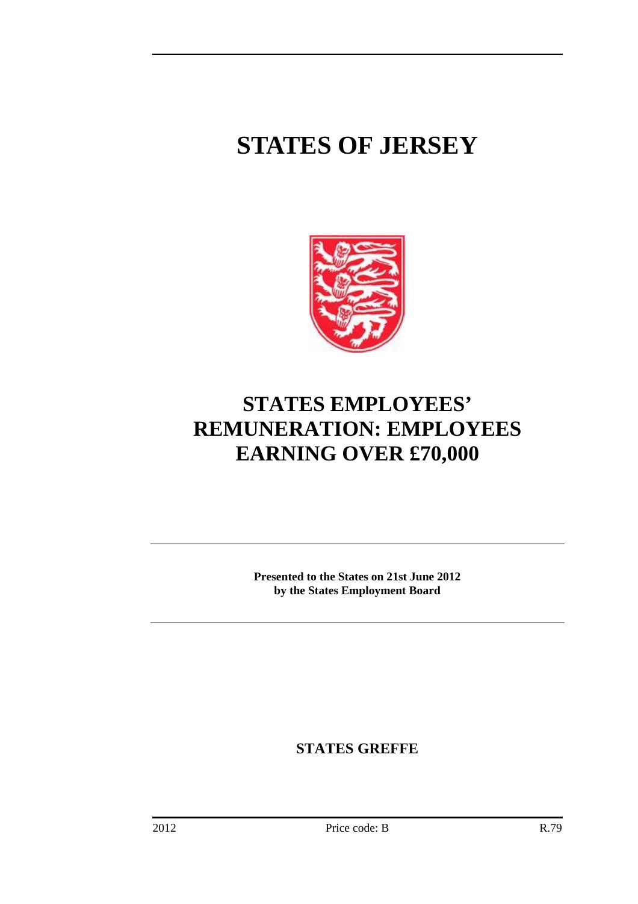# **STATES OF JERSEY**



## **STATES EMPLOYEES' REMUNERATION: EMPLOYEES EARNING OVER £70,000**

**Presented to the States on 21st June 2012 by the States Employment Board** 

**STATES GREFFE**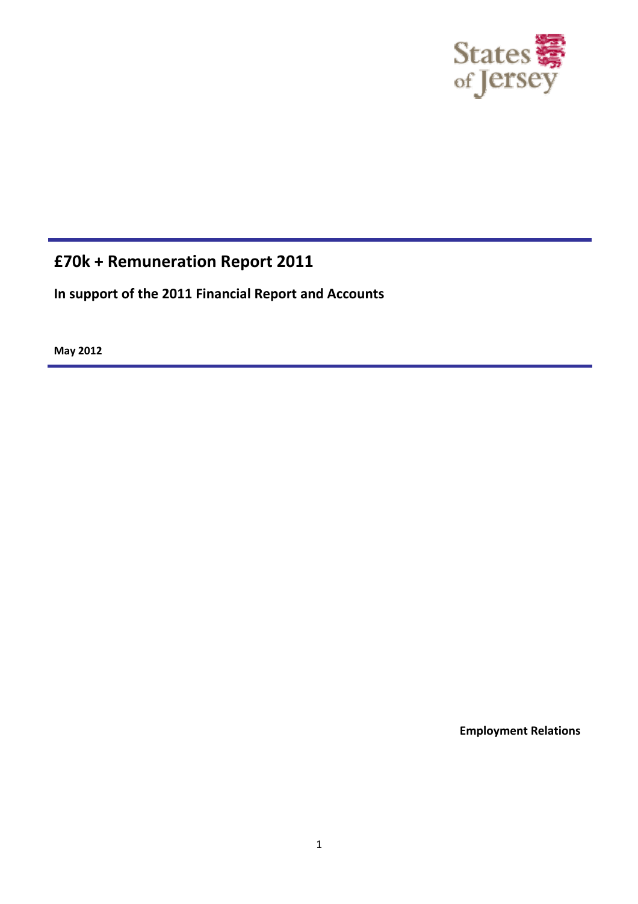

### **£70k + Remuneration Report 2011**

**In support of the 2011 Financial Report and Accounts**

**May 2012**

**Employment Relations**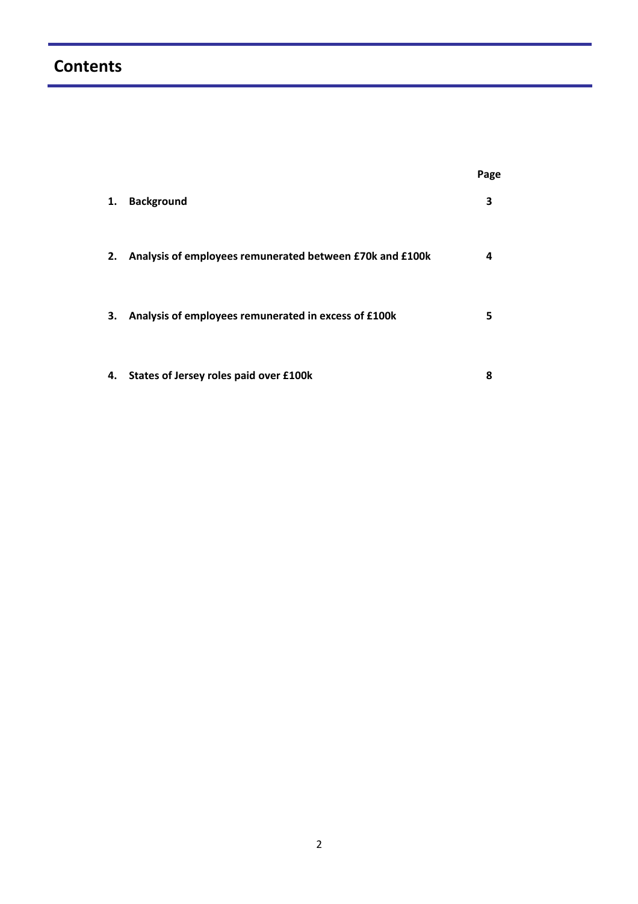## **Contents**

|    |                                                          | Page |
|----|----------------------------------------------------------|------|
| 1. | <b>Background</b>                                        | 3    |
| 2. | Analysis of employees remunerated between £70k and £100k | 4    |
| 3. | Analysis of employees remunerated in excess of £100k     | 5    |
| 4. | States of Jersey roles paid over £100k                   | 8    |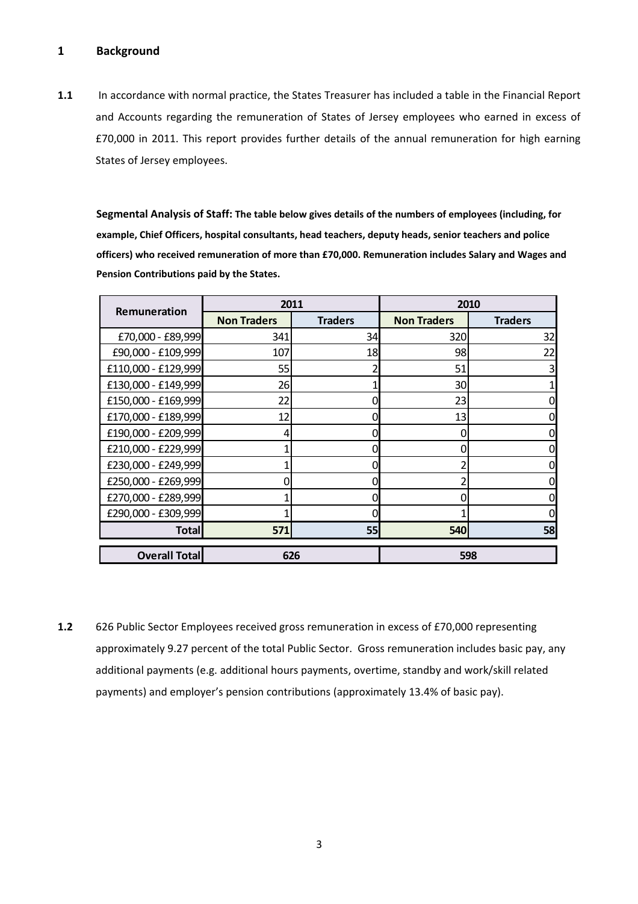#### **1 Background**

**1.1** In accordance with normal practice, the States Treasurer has included a table in the Financial Report and Accounts regarding the remuneration of States of Jersey employees who earned in excess of £70,000 in 2011. This report provides further details of the annual remuneration for high earning States of Jersey employees.

**Segmental Analysis of Staff: The table below gives details of the numbers of employees (including, for example, Chief Officers, hospital consultants, head teachers, deputy heads, senior teachers and police officers) who received remuneration of more than £70,000. Remuneration includes Salary and Wages and Pension Contributions paid by the States.**

| Remuneration         | 2011               |                | 2010               |                |  |
|----------------------|--------------------|----------------|--------------------|----------------|--|
|                      | <b>Non Traders</b> | <b>Traders</b> | <b>Non Traders</b> | <b>Traders</b> |  |
| £70,000 - £89,999    | 341                | 34             | 320                | 32             |  |
| £90,000 - £109,999   | 107                | 18             | 98                 | 22             |  |
| £110,000 - £129,999  | 55                 |                | 51                 | 3              |  |
| £130,000 - £149,999  | 26                 |                | 30                 |                |  |
| £150,000 - £169,999  | 22                 |                | 23                 | 0              |  |
| £170,000 - £189,999  | 12                 |                | 13                 | 0              |  |
| £190,000 - £209,999  | 4                  |                | 0                  | 0              |  |
| £210,000 - £229,999  | 1                  |                |                    | $\overline{0}$ |  |
| £230,000 - £249,999  | 1                  |                |                    | 0              |  |
| £250,000 - £269,999  | 0                  |                |                    | 0              |  |
| £270,000 - £289,999  |                    |                | ი                  | 0              |  |
| £290,000 - £309,999  | 1                  |                |                    | 0              |  |
| <b>Total</b>         | 571                | 55             | 540                | 58             |  |
| <b>Overall Total</b> | 626                |                |                    | 598            |  |

**1.2** 626 Public Sector Employees received gross remuneration in excess of £70,000 representing approximately 9.27 percent of the total Public Sector. Gross remuneration includes basic pay, any additional payments (e.g. additional hours payments, overtime, standby and work/skill related payments) and employer's pension contributions (approximately 13.4% of basic pay).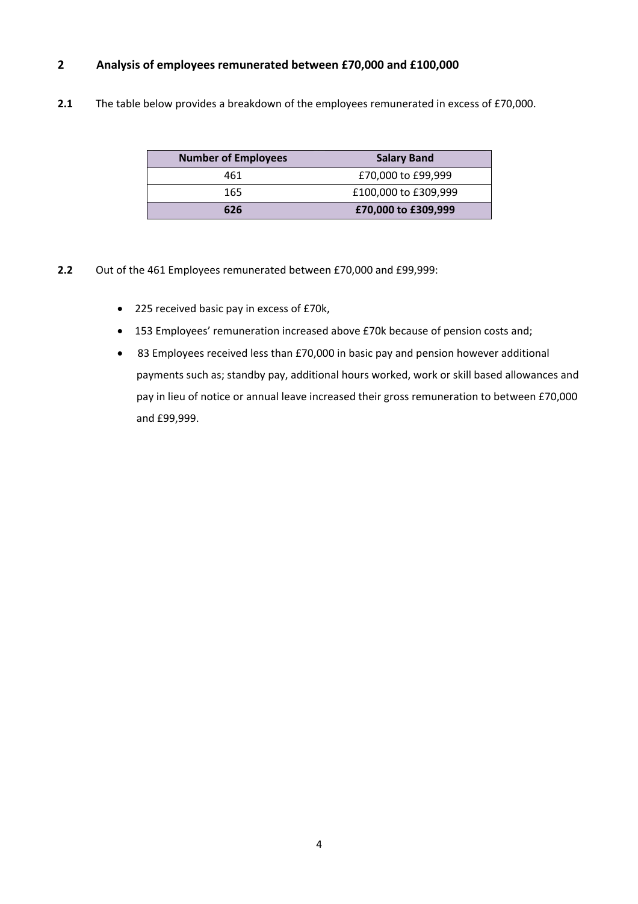#### **2 Analysis of employees remunerated between £70,000 and £100,000**

**2.1** The table below provides a breakdown of the employees remunerated in excess of £70,000.

| <b>Number of Employees</b> | <b>Salary Band</b>   |
|----------------------------|----------------------|
| 461                        | £70,000 to £99,999   |
| 165                        | £100,000 to £309,999 |
| 626                        | £70,000 to £309,999  |

- **2.2** Out of the 461 Employees remunerated between £70,000 and £99,999:
	- 225 received basic pay in excess of £70k,
	- 153 Employees' remuneration increased above £70k because of pension costs and;
	- 83 Employees received less than £70,000 in basic pay and pension however additional payments such as; standby pay, additional hours worked, work or skill based allowances and pay in lieu of notice or annual leave increased their gross remuneration to between £70,000 and £99,999.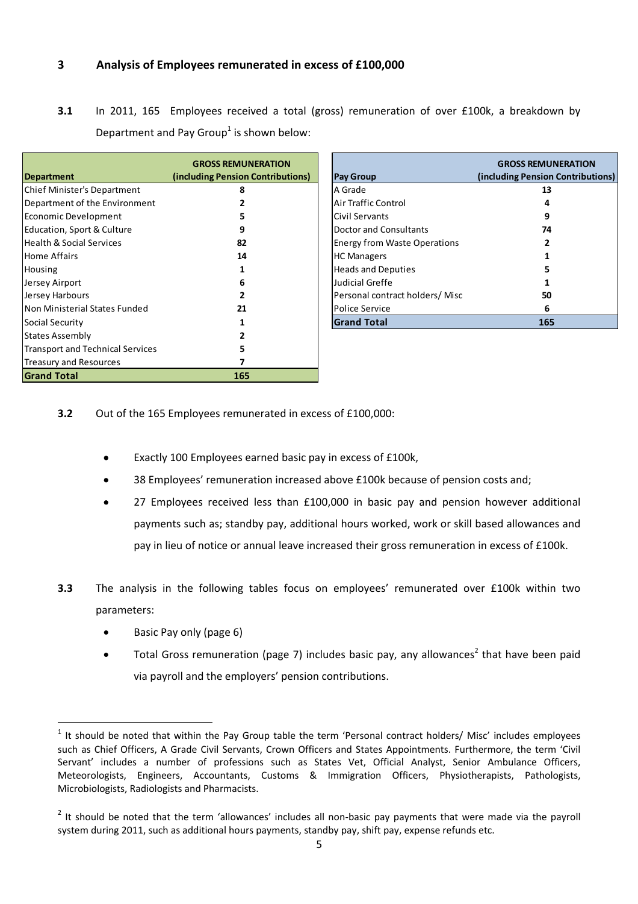#### **3 Analysis of Employees remunerated in excess of £100,000**

**3.1** In 2011, 165 Employees received a total (gross) remuneration of over £100k, a breakdown by Department and Pay Group<sup>1</sup> is shown below:

|                                         | <b>GROSS REMUNERATION</b>         |                                     | <b>GROSS REMUI</b> |
|-----------------------------------------|-----------------------------------|-------------------------------------|--------------------|
| <b>Department</b>                       | (including Pension Contributions) | <b>Pay Group</b>                    | (including Pension |
| <b>Chief Minister's Department</b>      | 8                                 | A Grade                             | 13                 |
| Department of the Environment           |                                   | <b>Air Traffic Control</b>          | 4                  |
| Economic Development                    |                                   | Civil Servants                      | 9                  |
| Education, Sport & Culture              |                                   | Doctor and Consultants              | 74                 |
| <b>Health &amp; Social Services</b>     | 82                                | <b>Energy from Waste Operations</b> |                    |
| <b>Home Affairs</b>                     | 14                                | <b>HC Managers</b>                  |                    |
| Housing                                 |                                   | <b>Heads and Deputies</b>           |                    |
| Jersey Airport                          | b                                 | Judicial Greffe                     |                    |
| Jersey Harbours                         |                                   | Personal contract holders/Misc      | 50                 |
| Non Ministerial States Funded           | 21                                | Police Service                      | 6                  |
| Social Security                         |                                   | <b>Grand Total</b>                  | 165                |
| <b>States Assembly</b>                  |                                   |                                     |                    |
| <b>Transport and Technical Services</b> |                                   |                                     |                    |
| <b>Treasury and Resources</b>           |                                   |                                     |                    |
| <b>Grand Total</b>                      | 165                               |                                     |                    |

|                                     | <b>GROSS REMUNERATION</b>         |
|-------------------------------------|-----------------------------------|
| Pay Group                           | (including Pension Contributions) |
| A Grade                             | 13                                |
| Air Traffic Control                 | 4                                 |
| Civil Servants                      | 9                                 |
| Doctor and Consultants              | 74                                |
| <b>Energy from Waste Operations</b> | 2                                 |
| <b>HC Managers</b>                  |                                   |
| <b>Heads and Deputies</b>           | 5                                 |
| Judicial Greffe                     | 1                                 |
| Personal contract holders/Misc      | 50                                |
| Police Service                      | 6                                 |
| <b>Grand Total</b>                  | 165                               |

- **3.2** Out of the 165 Employees remunerated in excess of £100,000:
	- Exactly 100 Employees earned basic pay in excess of £100k,
	- 38 Employees' remuneration increased above £100k because of pension costs and;
	- 27 Employees received less than £100,000 in basic pay and pension however additional payments such as; standby pay, additional hours worked, work or skill based allowances and pay in lieu of notice or annual leave increased their gross remuneration in excess of £100k.
- **3.3** The analysis in the following tables focus on employees' remunerated over £100k within two parameters:
	- Basic Pay only (page 6)

Total Gross remuneration (page 7) includes basic pay, any allowances<sup>2</sup> that have been paid via payroll and the employers' pension contributions.

 $1$  It should be noted that within the Pay Group table the term 'Personal contract holders/ Misc' includes employees such as Chief Officers, A Grade Civil Servants, Crown Officers and States Appointments. Furthermore, the term 'Civil Servant' includes a number of professions such as States Vet, Official Analyst, Senior Ambulance Officers, Meteorologists, Engineers, Accountants, Customs & Immigration Officers, Physiotherapists, Pathologists, Microbiologists, Radiologists and Pharmacists.

 $2$  It should be noted that the term 'allowances' includes all non-basic pay payments that were made via the payroll system during 2011, such as additional hours payments, standby pay, shift pay, expense refunds etc.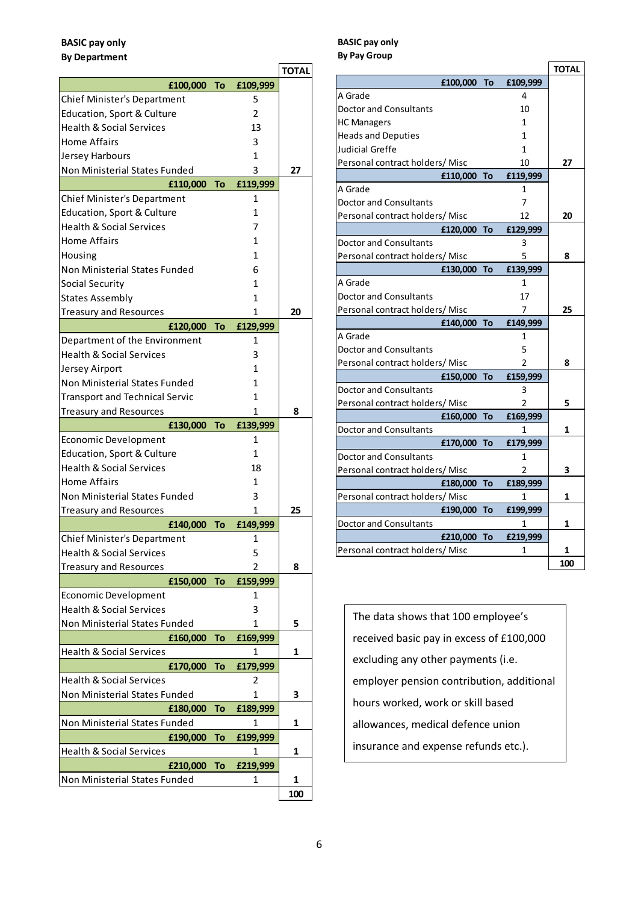#### **BASIC pay only By Department**

|                                       |    |          | <b>TOTAL</b> |
|---------------------------------------|----|----------|--------------|
| £100,000                              | To | £109,999 |              |
| Chief Minister's Department           |    | 5        |              |
| Education, Sport & Culture            |    | 2        |              |
| <b>Health &amp; Social Services</b>   |    | 13       |              |
| <b>Home Affairs</b>                   |    | 3        |              |
| Jersey Harbours                       |    | 1        |              |
| Non Ministerial States Funded         |    | 3        | 27           |
| £110,000                              | To | £119,999 |              |
| <b>Chief Minister's Department</b>    |    | 1        |              |
| Education, Sport & Culture            |    | 1        |              |
| <b>Health &amp; Social Services</b>   |    | 7        |              |
| <b>Home Affairs</b>                   |    | 1        |              |
| Housing                               |    | 1        |              |
| Non Ministerial States Funded         |    | 6        |              |
| Social Security                       |    | 1        |              |
| States Assembly                       |    | 1        |              |
| Treasury and Resources                |    | 1        | 20           |
| £120,000                              | To | £129,999 |              |
| Department of the Environment         |    | 1        |              |
| Health & Social Services              |    | 3        |              |
| Jersey Airport                        |    | 1        |              |
| Non Ministerial States Funded         |    | 1        |              |
| <b>Transport and Technical Servic</b> |    | 1        |              |
| <b>Treasury and Resources</b>         |    | 1        | 8            |
| £130,000                              | To | £139,999 |              |
| Economic Development                  |    | 1        |              |
| Education, Sport & Culture            |    | 1        |              |
| <b>Health &amp; Social Services</b>   |    | 18       |              |
| <b>Home Affairs</b>                   |    | 1        |              |
| Non Ministerial States Funded         |    | 3        |              |
| Treasury and Resources                |    | 1        | 25           |
| £140,000                              | To | £149,999 |              |
| Chief Minister's Department           |    | 1        |              |
| <b>Health &amp; Social Services</b>   |    | 5        |              |
| Treasury and Resources                |    | 2        | 8            |
| £150,000                              | To | £159,999 |              |
| <b>Economic Development</b>           |    | 1        |              |
| <b>Health &amp; Social Services</b>   |    | 3        |              |
| Non Ministerial States Funded         |    | 1        | 5            |
| £160,000                              | To | £169,999 |              |
| <b>Health &amp; Social Services</b>   |    | 1        | 1            |
| £170,000                              | To | £179,999 |              |
| <b>Health &amp; Social Services</b>   |    | 2        |              |
| Non Ministerial States Funded         |    | 1        | 3            |
| £180,000                              | To | £189,999 |              |
| Non Ministerial States Funded         |    | 1        | 1            |
| £190,000                              | To | £199,999 |              |
| <b>Health &amp; Social Services</b>   |    | 1        | 1            |
| £210,000                              | To | £219,999 |              |
| Non Ministerial States Funded         |    | 1        | 1            |
|                                       |    |          | 100          |

#### **BASIC pay only By Pay Group**

|                                 |             |    |          | <b>TOTAL</b> |
|---------------------------------|-------------|----|----------|--------------|
|                                 | £100,000 To |    | £109,999 |              |
| A Grade                         |             |    | 4        |              |
| Doctor and Consultants          |             |    | 10       |              |
| <b>HC Managers</b>              |             |    | 1        |              |
| <b>Heads and Deputies</b>       |             |    | 1        |              |
| Judicial Greffe                 |             |    | 1        |              |
| Personal contract holders/Misc  |             |    | 10       | 27           |
|                                 | £110,000    | To | £119,999 |              |
| A Grade                         |             |    | 1        |              |
| Doctor and Consultants          |             |    | 7        |              |
| Personal contract holders/Misc  |             |    | 12       | 20           |
|                                 | £120,000    | To | £129,999 |              |
| <b>Doctor and Consultants</b>   |             |    | 3        |              |
| Personal contract holders/Misc  |             |    | 5        | 8            |
|                                 | £130,000    | To | £139,999 |              |
| A Grade                         |             |    | 1        |              |
| Doctor and Consultants          |             |    | 17       |              |
| Personal contract holders/ Misc |             |    | 7        | 25           |
|                                 | £140,000    | To | £149,999 |              |
| A Grade                         |             |    | 1        |              |
| <b>Doctor and Consultants</b>   |             |    | 5        |              |
| Personal contract holders/ Misc |             |    | 2        | 8            |
|                                 | £150,000    | To | £159,999 |              |
| <b>Doctor and Consultants</b>   |             |    | 3        |              |
| Personal contract holders/ Misc |             |    | 2        | 5            |
|                                 | £160,000    | To | £169,999 |              |
| <b>Doctor and Consultants</b>   |             |    | 1        | 1            |
|                                 | £170,000    | To | £179,999 |              |
| <b>Doctor and Consultants</b>   |             |    | 1        |              |
| Personal contract holders/Misc  |             |    | 2        | 3            |
|                                 | £180,000    | To | £189,999 |              |
| Personal contract holders/Misc  |             |    | 1        | 1            |
|                                 | £190,000    | To | £199,999 |              |
| Doctor and Consultants          |             |    | 1        | 1            |
|                                 | £210,000    | To | £219,999 |              |
| Personal contract holders/Misc  |             |    | 1        | 1            |
|                                 |             |    |          | 100          |

The data shows that 100 employee's received basic pay in excess of £100,000 excluding any other payments (i.e. employer pension contribution, additional hours worked, work or skill based allowances, medical defence union insurance and expense refunds etc.).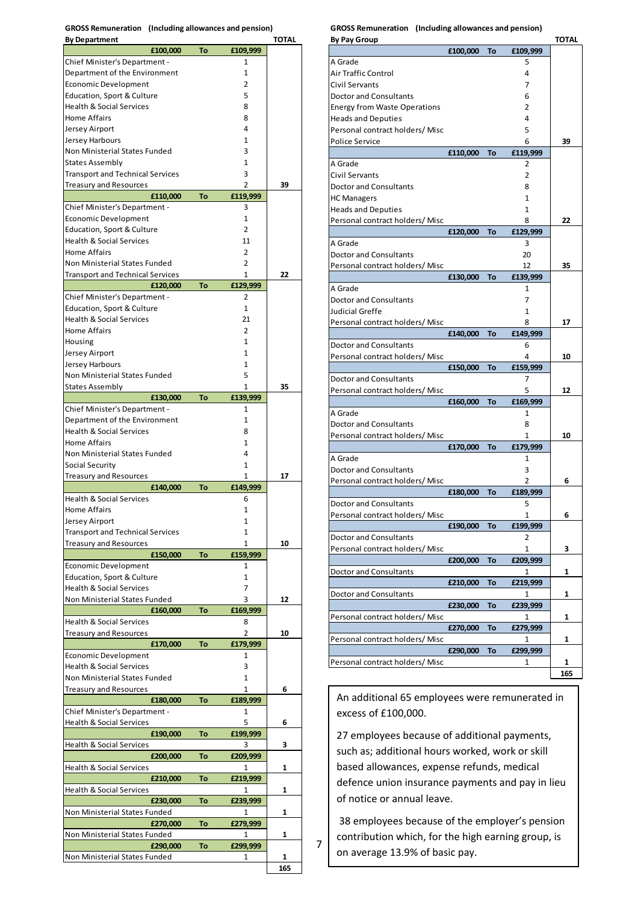**GROSS Remuneration (Including allowances and pension) By Department TOTAL**

| by bepartment<br>£100,000                                    | To | £109,999       | ייייי |
|--------------------------------------------------------------|----|----------------|-------|
| Chief Minister's Department -                                |    | 1              |       |
| Department of the Environment                                |    | 1              |       |
| <b>Economic Development</b>                                  |    | 2              |       |
| Education, Sport & Culture                                   |    | 5              |       |
| <b>Health &amp; Social Services</b>                          |    | 8              |       |
| Home Affairs                                                 |    | 8              |       |
| Jersey Airport                                               |    | 4              |       |
| Jersey Harbours                                              |    | 1              |       |
| Non Ministerial States Funded                                |    | 3              |       |
| <b>States Assembly</b>                                       |    | 1              |       |
| <b>Transport and Technical Services</b>                      |    | 3              |       |
| Treasury and Resources                                       |    | 2              | 39    |
| £110,000                                                     | To | £119,999       |       |
| Chief Minister's Department -<br><b>Economic Development</b> |    | 3<br>1         |       |
| Education, Sport & Culture                                   |    | $\overline{2}$ |       |
| <b>Health &amp; Social Services</b>                          |    | 11             |       |
| <b>Home Affairs</b>                                          |    | 2              |       |
| Non Ministerial States Funded                                |    | 2              |       |
| <b>Transport and Technical Services</b>                      |    | 1              | 22    |
| £120,000                                                     | To | £129,999       |       |
| Chief Minister's Department -                                |    | 2              |       |
| Education, Sport & Culture                                   |    | 1              |       |
| <b>Health &amp; Social Services</b>                          |    | 21             |       |
| Home Affairs                                                 |    | 2              |       |
| Housing                                                      |    | 1              |       |
| Jersey Airport                                               |    | 1              |       |
| Jersey Harbours                                              |    | 1              |       |
| Non Ministerial States Funded                                |    | 5              |       |
| <b>States Assembly</b>                                       |    | 1              | 35    |
| £130,000                                                     | To | £139,999       |       |
| Chief Minister's Department -                                |    | 1              |       |
| Department of the Environment                                |    | 1              |       |
| <b>Health &amp; Social Services</b>                          |    | 8              |       |
| <b>Home Affairs</b>                                          |    | 1              |       |
| Non Ministerial States Funded                                |    | 4              |       |
| Social Security                                              |    | 1<br>1         | 17    |
| <b>Treasury and Resources</b><br>£140,000                    | To | £149,999       |       |
| <b>Health &amp; Social Services</b>                          |    | 6              |       |
| <b>Home Affairs</b>                                          |    | 1              |       |
| Jersey Airport                                               |    | 1              |       |
| <b>Transport and Technical Services</b>                      |    | 1              |       |
| Treasury and Resources                                       |    | 1              | 10    |
| £150,000                                                     | To | £159,999       |       |
| Economic Development                                         |    | 1              |       |
| Education, Sport & Culture                                   |    | 1              |       |
| <b>Health &amp; Social Services</b>                          |    | 7              |       |
| Non Ministerial States Funded                                |    | 3              | 12    |
| £160,000                                                     | To | £169,999       |       |
| <b>Health &amp; Social Services</b>                          |    | 8              |       |
| Treasury and Resources                                       |    | 2              | 10    |
| £170,000                                                     | To | £179,999       |       |
| <b>Economic Development</b>                                  |    | 1              |       |
| <b>Health &amp; Social Services</b>                          |    | 3              |       |
| Non Ministerial States Funded                                |    | 1              |       |
| Treasury and Resources                                       |    | 1              | 6     |
| £180,000                                                     | To | £189,999       |       |
| Chief Minister's Department -<br>Health & Social Services    |    | 1<br>5         | 6     |
| £190,000                                                     | To | £199,999       |       |
| <b>Health &amp; Social Services</b>                          |    | 3              | З     |
| £200,000                                                     | To | £209,999       |       |
| Health & Social Services                                     |    | 1              | 1     |
| £210,000                                                     | To | £219,999       |       |
| Health & Social Services                                     |    | 1              | 1     |
| £230,000                                                     | To | £239,999       |       |
| Non Ministerial States Funded                                |    | 1              | 1     |
| £270,000                                                     | To | £279,999       |       |
| Non Ministerial States Funded                                |    | 1              | 1     |
| £290,000                                                     | To | £299,999       |       |
| Non Ministerial States Funded                                |    | 1              | 1     |
|                                                              |    |                | 165   |

**GROSS Remuneration (Including allowances and pension)**

| <b>By Pay Group</b>                 |          |    |                | <b>TOTAL</b> |
|-------------------------------------|----------|----|----------------|--------------|
|                                     | £100,000 | To | £109,999       |              |
| A Grade                             |          |    | 5              |              |
| <b>Air Traffic Control</b>          |          |    | 4              |              |
| Civil Servants                      |          |    | 7              |              |
| <b>Doctor and Consultants</b>       |          |    | 6              |              |
| <b>Energy from Waste Operations</b> |          |    | 2              |              |
| <b>Heads and Deputies</b>           |          |    | 4              |              |
| Personal contract holders/Misc      |          |    | 5              |              |
| Police Service                      |          |    | 6              | 39           |
|                                     | £110,000 | To | £119,999       |              |
| A Grade                             |          |    | 2              |              |
| Civil Servants                      |          |    | $\overline{2}$ |              |
|                                     |          |    |                |              |
| <b>Doctor and Consultants</b>       |          |    | 8              |              |
| <b>HC Managers</b>                  |          |    | 1              |              |
| <b>Heads and Deputies</b>           |          |    | 1              |              |
| Personal contract holders/ Misc     |          |    | 8              | 22           |
|                                     | £120,000 | To | £129,999       |              |
| A Grade                             |          |    | 3              |              |
| <b>Doctor and Consultants</b>       |          |    | 20             |              |
| Personal contract holders/Misc      |          |    | 12             | 35           |
|                                     | £130,000 | To | £139,999       |              |
| A Grade                             |          |    | 1              |              |
| <b>Doctor and Consultants</b>       |          |    | 7              |              |
| Judicial Greffe                     |          |    | 1              |              |
| Personal contract holders/ Misc     |          |    | 8              | 17           |
|                                     | £140,000 | To | £149,999       |              |
| <b>Doctor and Consultants</b>       |          |    | 6              |              |
| Personal contract holders/Misc      |          |    | 4              | 10           |
|                                     | £150,000 | To | £159,999       |              |
|                                     |          |    |                |              |
| <b>Doctor and Consultants</b>       |          |    | 7              |              |
| Personal contract holders/ Misc     |          |    | 5              | 12           |
|                                     | £160,000 | To | £169,999       |              |
| A Grade                             |          |    | 1              |              |
| <b>Doctor and Consultants</b>       |          |    | 8              |              |
| Personal contract holders/ Misc     |          |    | 1              | 10           |
|                                     | £170,000 | To | £179,999       |              |
| A Grade                             |          |    | 1              |              |
| <b>Doctor and Consultants</b>       |          |    | 3              |              |
| Personal contract holders/ Misc     |          |    | 2              | 6            |
|                                     | £180,000 | To | £189,999       |              |
| <b>Doctor and Consultants</b>       |          |    | 5              |              |
| Personal contract holders/ Misc     |          |    | 1              | 6            |
|                                     | £190,000 | То | £199,999       |              |
| <b>Doctor and Consultants</b>       |          |    | 2              |              |
| Personal contract holders/Misc      |          |    | 1              | З            |
|                                     | £200,000 | To | £209,999       |              |
| Doctor and Consultants              |          |    | 1              | 1            |
|                                     | £210,000 | То | £219,999       |              |
| Doctor and Consultants              |          |    | 1              | 1            |
|                                     |          |    |                |              |
|                                     | £230,000 | To | £239,999       |              |
| Personal contract holders/ Misc     |          |    | 1              | 1            |
|                                     | £270,000 | То | £279,999       |              |
| Personal contract holders/Misc      |          |    | 1              | 1            |
|                                     | £290,000 | To | £299,999       |              |
| Personal contract holders/ Misc     |          |    | 1              | 1            |
|                                     |          |    |                | 165          |

An additional 65 employees were remunerated in excess of £100,000.

27 employees because of additional payments, such as; additional hours worked, work or skill based allowances, expense refunds, medical defence union insurance payments and pay in lieu of notice or annual leave.

38 employees because of the employer's pension contribution which, for the high earning group, is on average 13.9% of basic pay.

7